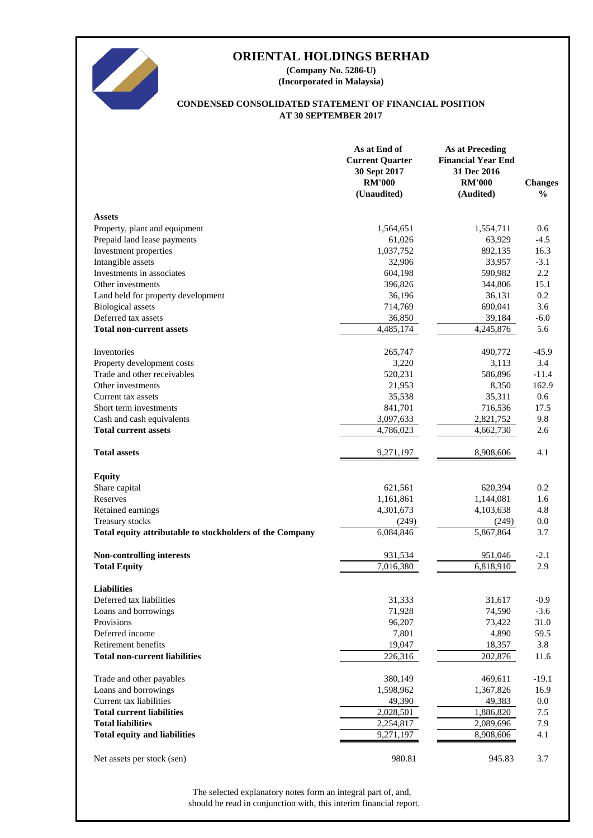

**(Incorporated in Malaysia) (Company No. 5286-U)**

#### **AT 30 SEPTEMBER 2017 CONDENSED CONSOLIDATED STATEMENT OF FINANCIAL POSITION**

|                                                          | As at End of<br><b>Current Quarter</b><br>30 Sept 2017<br><b>RM'000</b><br>(Unaudited) | <b>As at Preceding</b><br><b>Financial Year End</b><br>31 Dec 2016<br><b>RM'000</b><br>(Audited) | <b>Changes</b><br>$\frac{6}{6}$ |
|----------------------------------------------------------|----------------------------------------------------------------------------------------|--------------------------------------------------------------------------------------------------|---------------------------------|
| <b>Assets</b>                                            |                                                                                        |                                                                                                  |                                 |
| Property, plant and equipment                            | 1,564,651                                                                              | 1,554,711                                                                                        | 0.6                             |
| Prepaid land lease payments                              | 61,026                                                                                 | 63,929                                                                                           | $-4.5$                          |
| Investment properties                                    | 1,037,752                                                                              | 892,135                                                                                          | 16.3                            |
| Intangible assets                                        | 32,906                                                                                 | 33,957                                                                                           | $-3.1$                          |
| Investments in associates                                | 604,198                                                                                | 590,982                                                                                          | 2.2                             |
| Other investments                                        | 396,826                                                                                | 344,806                                                                                          | 15.1                            |
| Land held for property development                       | 36,196                                                                                 | 36,131                                                                                           | 0.2                             |
| <b>Biological</b> assets                                 | 714,769                                                                                | 690,041                                                                                          | 3.6                             |
| Deferred tax assets                                      | 36,850                                                                                 | 39,184                                                                                           | $-6.0$                          |
| <b>Total non-current assets</b>                          | 4,485,174                                                                              | 4,245,876                                                                                        | 5.6                             |
| Inventories                                              | 265,747                                                                                | 490,772                                                                                          | $-45.9$                         |
| Property development costs                               | 3,220                                                                                  | 3,113                                                                                            | 3.4                             |
| Trade and other receivables                              | 520,231                                                                                | 586,896                                                                                          | $-11.4$                         |
| Other investments                                        | 21,953                                                                                 | 8,350                                                                                            | 162.9                           |
| Current tax assets                                       | 35,538                                                                                 | 35,311                                                                                           | 0.6                             |
| Short term investments                                   | 841,701                                                                                | 716,536                                                                                          | 17.5                            |
| Cash and cash equivalents                                | 3,097,633                                                                              | 2,821,752                                                                                        | 9.8                             |
| <b>Total current assets</b>                              | 4,786,023                                                                              | 4,662,730                                                                                        | 2.6                             |
| <b>Total assets</b>                                      | 9,271,197                                                                              | 8,908,606                                                                                        | 4.1                             |
| <b>Equity</b>                                            |                                                                                        |                                                                                                  |                                 |
| Share capital                                            | 621,561                                                                                | 620,394                                                                                          | 0.2                             |
| Reserves                                                 | 1,161,861                                                                              | 1,144,081                                                                                        | 1.6                             |
| Retained earnings                                        | 4,301,673                                                                              | 4,103,638                                                                                        | 4.8                             |
| Treasury stocks                                          | (249)                                                                                  | (249)                                                                                            | 0.0                             |
| Total equity attributable to stockholders of the Company | 6,084,846                                                                              | 5,867,864                                                                                        | 3.7                             |
| Non-controlling interests                                | 931,534                                                                                | 951,046                                                                                          | $-2.1$                          |
| <b>Total Equity</b>                                      | 7,016,380                                                                              | 6,818,910                                                                                        | 2.9                             |
|                                                          |                                                                                        |                                                                                                  |                                 |
| <b>Liabilities</b>                                       |                                                                                        |                                                                                                  |                                 |
| Deferred tax liabilities                                 | 31,333<br>71,928                                                                       | 31,617<br>74,590                                                                                 | $-0.9$                          |
| Loans and borrowings<br>Provisions                       | 96,207                                                                                 | 73,422                                                                                           | $-3.6$<br>31.0                  |
| Deferred income                                          | 7,801                                                                                  | 4,890                                                                                            | 59.5                            |
| Retirement benefits                                      | 19,047                                                                                 | 18,357                                                                                           | 3.8                             |
| <b>Total non-current liabilities</b>                     | 226,316                                                                                | 202,876                                                                                          | 11.6                            |
|                                                          |                                                                                        |                                                                                                  |                                 |
| Trade and other payables                                 | 380,149                                                                                | 469,611                                                                                          | $-19.1$                         |
| Loans and borrowings                                     | 1,598,962                                                                              | 1,367,826                                                                                        | 16.9                            |
| Current tax liabilities                                  | 49,390                                                                                 | 49,383                                                                                           | 0.0                             |
| <b>Total current liabilities</b>                         | 2,028,501                                                                              | 1,886,820                                                                                        | 7.5                             |
| <b>Total liabilities</b>                                 | 2,254,817                                                                              | 2,089,696                                                                                        | 7.9                             |
| <b>Total equity and liabilities</b>                      | 9,271,197                                                                              | 8,908,606                                                                                        | 4.1                             |
| Net assets per stock (sen)                               | 980.81                                                                                 | 945.83                                                                                           | 3.7                             |

should be read in conjunction with, this interim financial report. The selected explanatory notes form an integral part of, and,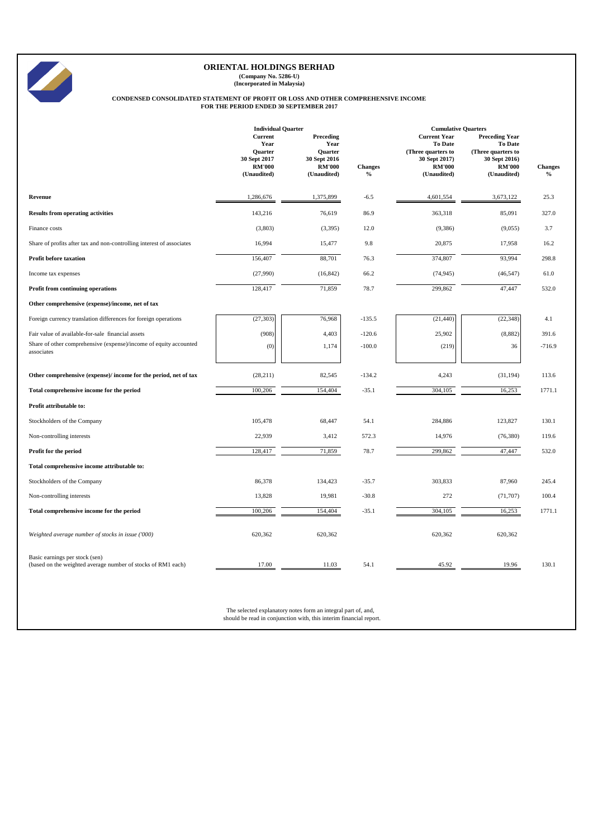$\mathbb Z$ 

**(Company No. 5286-U) (Incorporated in Malaysia)**

# **CONDENSED CONSOLIDATED STATEMENT OF PROFIT OR LOSS AND OTHER COMPREHENSIVE INCOME FOR THE PERIOD ENDED 30 SEPTEMBER 2017**

|                                                                                                | <b>Individual Quarter</b><br><b>Cumulative Quarters</b>                    |                                                                              |                                 |                                                                                                       |                                                                                                         |                        |
|------------------------------------------------------------------------------------------------|----------------------------------------------------------------------------|------------------------------------------------------------------------------|---------------------------------|-------------------------------------------------------------------------------------------------------|---------------------------------------------------------------------------------------------------------|------------------------|
|                                                                                                | Current<br>Year<br>Quarter<br>30 Sept 2017<br><b>RM'000</b><br>(Unaudited) | Preceding<br>Year<br>Quarter<br>30 Sept 2016<br><b>RM'000</b><br>(Unaudited) | <b>Changes</b><br>$\frac{0}{0}$ | <b>Current Year</b><br>To Date<br>(Three quarters to<br>30 Sept 2017)<br><b>RM'000</b><br>(Unaudited) | <b>Preceding Year</b><br>To Date<br>(Three quarters to<br>30 Sept 2016)<br><b>RM'000</b><br>(Unaudited) | <b>Changes</b><br>$\%$ |
| Revenue                                                                                        | 1,286,676                                                                  | 1,375,899                                                                    | $-6.5$                          | 4,601,554                                                                                             | 3,673,122                                                                                               | 25.3                   |
| <b>Results from operating activities</b>                                                       | 143,216                                                                    | 76,619                                                                       | 86.9                            | 363,318                                                                                               | 85,091                                                                                                  | 327.0                  |
| Finance costs                                                                                  | (3,803)                                                                    | (3, 395)                                                                     | 12.0                            | (9,386)                                                                                               | (9,055)                                                                                                 | 3.7                    |
| Share of profits after tax and non-controlling interest of associates                          | 16,994                                                                     | 15,477                                                                       | 9.8                             | 20,875                                                                                                | 17,958                                                                                                  | 16.2                   |
| <b>Profit before taxation</b>                                                                  | 156,407                                                                    | 88,701                                                                       | 76.3                            | 374,807                                                                                               | 93,994                                                                                                  | 298.8                  |
| Income tax expenses                                                                            | (27,990)                                                                   | (16, 842)                                                                    | 66.2                            | (74, 945)                                                                                             | (46, 547)                                                                                               | 61.0                   |
| <b>Profit from continuing operations</b>                                                       | 128,417                                                                    | 71,859                                                                       | 78.7                            | 299,862                                                                                               | 47,447                                                                                                  | 532.0                  |
| Other comprehensive (expense)/income, net of tax                                               |                                                                            |                                                                              |                                 |                                                                                                       |                                                                                                         |                        |
| Foreign currency translation differences for foreign operations                                | (27, 303)                                                                  | 76,968                                                                       | $-135.5$                        | (21, 440)                                                                                             | (22, 348)                                                                                               | 4.1                    |
| Fair value of available-for-sale financial assets                                              | (908)                                                                      | 4,403                                                                        | $-120.6$                        | 25,902                                                                                                | (8,882)                                                                                                 | 391.6                  |
| Share of other comprehensive (expense)/income of equity accounted<br>associates                | (0)                                                                        | 1,174                                                                        | $-100.0$                        | (219)                                                                                                 | 36                                                                                                      | $-716.9$               |
| Other comprehensive (expense)/ income for the period, net of tax                               | (28, 211)                                                                  | 82,545                                                                       | $-134.2$                        | 4,243                                                                                                 | (31, 194)                                                                                               | 113.6                  |
| Total comprehensive income for the period                                                      | 100,206                                                                    | 154,404                                                                      | $-35.1$                         | 304,105                                                                                               | 16,253                                                                                                  | 1771.1                 |
| Profit attributable to:                                                                        |                                                                            |                                                                              |                                 |                                                                                                       |                                                                                                         |                        |
| Stockholders of the Company                                                                    | 105,478                                                                    | 68,447                                                                       | 54.1                            | 284,886                                                                                               | 123,827                                                                                                 | 130.1                  |
| Non-controlling interests                                                                      | 22,939                                                                     | 3,412                                                                        | 572.3                           | 14,976                                                                                                | (76, 380)                                                                                               | 119.6                  |
| Profit for the period                                                                          | 128,417                                                                    | 71,859                                                                       | 78.7                            | 299,862                                                                                               | 47,447                                                                                                  | 532.0                  |
| Total comprehensive income attributable to:                                                    |                                                                            |                                                                              |                                 |                                                                                                       |                                                                                                         |                        |
| Stockholders of the Company                                                                    | 86,378                                                                     | 134,423                                                                      | $-35.7$                         | 303,833                                                                                               | 87,960                                                                                                  | 245.4                  |
| Non-controlling interests                                                                      | 13,828                                                                     | 19,981                                                                       | $-30.8$                         | 272                                                                                                   | (71, 707)                                                                                               | 100.4                  |
| Total comprehensive income for the period                                                      | 100,206                                                                    | 154,404                                                                      | $-35.1$                         | 304,105                                                                                               | 16,253                                                                                                  | 1771.1                 |
| Weighted average number of stocks in issue ('000)                                              | 620,362                                                                    | 620,362                                                                      |                                 | 620,362                                                                                               | 620,362                                                                                                 |                        |
| Basic earnings per stock (sen)<br>(based on the weighted average number of stocks of RM1 each) | 17.00                                                                      | 11.03                                                                        | 54.1                            | 45.92                                                                                                 | 19.96                                                                                                   | 130.1                  |

The selected explanatory notes form an integral part of, and, should be read in conjunction with, this interim financial report.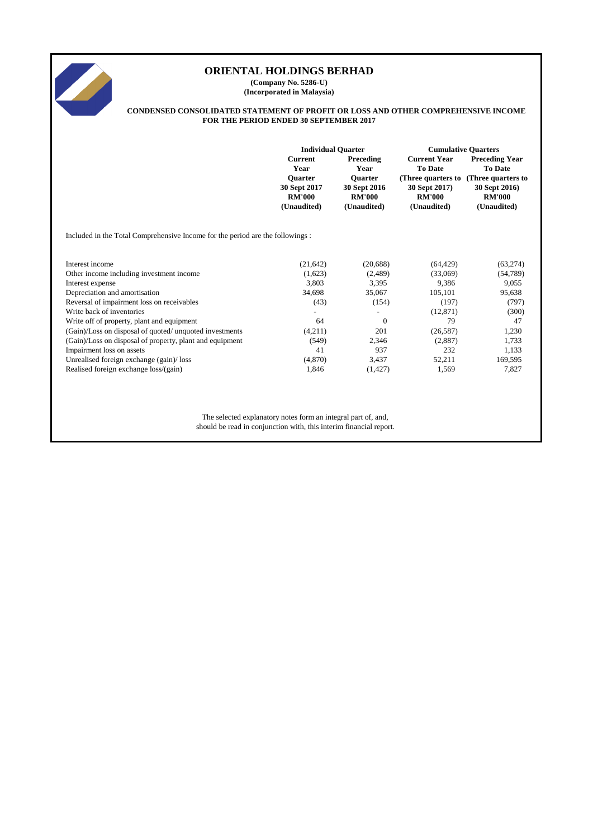

**(Company No. 5286-U) (Incorporated in Malaysia)**

#### **CONDENSED CONSOLIDATED STATEMENT OF PROFIT OR LOSS AND OTHER COMPREHENSIVE INCOME FOR THE PERIOD ENDED 30 SEPTEMBER 2017**

|                                                                               | <b>Individual Quarter</b>                                      |                                                                | <b>Cumulative Quarters</b>                                          |                                                                     |  |
|-------------------------------------------------------------------------------|----------------------------------------------------------------|----------------------------------------------------------------|---------------------------------------------------------------------|---------------------------------------------------------------------|--|
|                                                                               | <b>Current</b><br>Year                                         | Preceding<br>Year                                              | <b>Current Year</b><br><b>To Date</b>                               | <b>Preceding Year</b><br><b>To Date</b>                             |  |
|                                                                               | <b>Ouarter</b><br>30 Sept 2017<br><b>RM'000</b><br>(Unaudited) | <b>Ouarter</b><br>30 Sept 2016<br><b>RM'000</b><br>(Unaudited) | (Three quarters to<br>30 Sept 2017)<br><b>RM'000</b><br>(Unaudited) | (Three quarters to<br>30 Sept 2016)<br><b>RM'000</b><br>(Unaudited) |  |
| Included in the Total Comprehensive Income for the period are the followings: |                                                                |                                                                |                                                                     |                                                                     |  |
| Interest income                                                               | (21, 642)                                                      | (20, 688)                                                      | (64, 429)                                                           | (63, 274)                                                           |  |
| Other income including investment income                                      | (1,623)                                                        | (2,489)                                                        | (33,069)                                                            | (54, 789)                                                           |  |
| Interest expense                                                              | 3.803                                                          | 3,395                                                          | 9.386                                                               | 9,055                                                               |  |
| Depreciation and amortisation                                                 | 34,698                                                         | 35,067                                                         | 105,101                                                             | 95,638                                                              |  |
| Reversal of impairment loss on receivables                                    | (43)                                                           | (154)                                                          | (197)                                                               | (797)                                                               |  |
| Write back of inventories                                                     | $\qquad \qquad \blacksquare$                                   | $\overline{\phantom{a}}$                                       | (12, 871)                                                           | (300)                                                               |  |
| Write off of property, plant and equipment                                    | 64                                                             | $\theta$                                                       | 79                                                                  | 47                                                                  |  |
| (Gain)/Loss on disposal of quoted/unquoted investments                        | (4,211)                                                        | 201                                                            | (26, 587)                                                           | 1,230                                                               |  |
| (Gain)/Loss on disposal of property, plant and equipment                      | (549)                                                          | 2,346                                                          | (2,887)                                                             | 1,733                                                               |  |
| Impairment loss on assets                                                     | 41                                                             | 937                                                            | 232                                                                 | 1,133                                                               |  |
| Unrealised foreign exchange (gain)/loss                                       | (4,870)                                                        | 3.437                                                          | 52,211                                                              | 169,595                                                             |  |
| Realised foreign exchange loss/(gain)                                         | 1,846                                                          | (1, 427)                                                       | 1,569                                                               | 7,827                                                               |  |
|                                                                               |                                                                |                                                                |                                                                     |                                                                     |  |
|                                                                               |                                                                |                                                                |                                                                     |                                                                     |  |

The selected explanatory notes form an integral part of, and,

should be read in conjunction with, this interim financial report.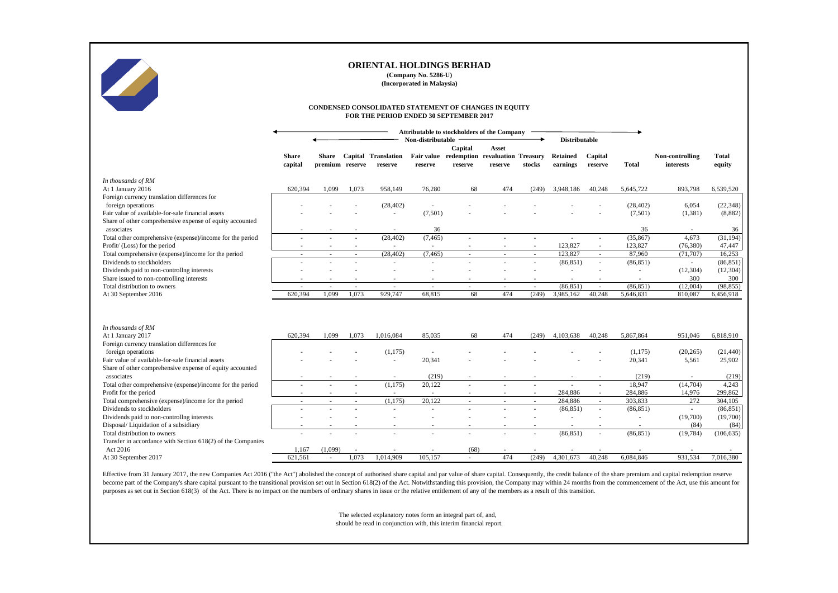

**(Company No. 5286-U)**

**(Incorporated in Malaysia)**

#### **CONDENSED CONSOLIDATED STATEMENT OF CHANGES IN EQUITY FOR THE PERIOD ENDED 30 SEPTEMBER 2017**

|                                                                                         |                  |                 |                          |                          | Attributable to stockholders of the Company |                                                       |         |                          |                            |         |                |                  |                  |
|-----------------------------------------------------------------------------------------|------------------|-----------------|--------------------------|--------------------------|---------------------------------------------|-------------------------------------------------------|---------|--------------------------|----------------------------|---------|----------------|------------------|------------------|
|                                                                                         |                  |                 |                          |                          | Non-distributable                           |                                                       |         |                          | <b>Distributable</b>       |         |                |                  |                  |
|                                                                                         | <b>Share</b>     | Share           |                          | Capital Translation      |                                             | Capital<br>Fair value redemption revaluation Treasury | Asset   |                          | <b>Retained</b>            | Capital |                | Non-controlling  | <b>Total</b>     |
|                                                                                         | capital          | premium reserve |                          | reserve                  | reserve                                     | reserve                                               | reserve | stocks                   | earnings                   | reserve | <b>Total</b>   | interests        | equity           |
| In thousands of RM                                                                      |                  |                 |                          |                          |                                             |                                                       |         |                          |                            |         |                |                  |                  |
| At 1 January 2016                                                                       | 620.394          | 1.099           | 1.073                    | 958,149                  | 76,280                                      | 68                                                    | 474     | (249)                    | 3,948,186                  | 40,248  | 5,645,722      | 893,798          | 6,539,520        |
| Foreign currency translation differences for                                            |                  |                 |                          |                          |                                             |                                                       |         |                          |                            |         |                |                  |                  |
| foreign operations                                                                      |                  |                 |                          | (28, 402)                |                                             |                                                       |         |                          |                            |         | (28, 402)      | 6,054            | (22, 348)        |
| Fair value of available-for-sale financial assets                                       |                  |                 |                          | $\sim$                   | (7,501)                                     |                                                       |         |                          |                            |         | (7,501)        | (1, 381)         | (8,882)          |
| Share of other comprehensive expense of equity accounted                                |                  |                 |                          |                          |                                             |                                                       |         |                          |                            |         |                |                  |                  |
| associates                                                                              |                  |                 |                          | $\sim$                   | 36                                          |                                                       |         |                          |                            |         | 36             |                  | 36               |
| Total other comprehensive (expense)/income for the period                               |                  |                 | $\mathbf{r}$             | (28, 402)                | (7, 465)                                    |                                                       |         |                          | ÷.                         | $\sim$  | (35, 867)      | 4.673            | (31, 194)        |
| Profit/ (Loss) for the period                                                           |                  |                 | $\overline{\phantom{a}}$ | $\epsilon$               | $\sim$                                      |                                                       |         |                          | 123,827                    |         | 123,827        | (76, 380)        | 47,447           |
| Total comprehensive (expense)/income for the period                                     | ×.               | $\sim$          | $\sim$                   | (28, 402)                | (7, 465)                                    | $\sim$                                                | $\sim$  | $\sim$                   | 123,827                    | $\sim$  | 87,960         | (71, 707)        | 16,253           |
| Dividends to stockholders                                                               |                  |                 |                          | ٠                        | $\sim$                                      |                                                       |         |                          | (86, 851)                  | $\sim$  | (86, 851)      | ٠                | (86, 851)        |
| Dividends paid to non-controllng interests<br>Share issued to non-controlling interests |                  |                 |                          | ٠                        |                                             |                                                       |         |                          | $\sim$                     |         | ۰              | (12, 304)<br>300 | (12, 304)<br>300 |
| Total distribution to owners                                                            | ٠                | $\sim$          | ÷.                       | ٠<br>$\sim$              | $\sim$                                      | $\sim$                                                | $\sim$  | $\sim$                   | $\blacksquare$<br>(86.851) | $\sim$  | ÷<br>(86, 851) | (12,004)         | (98, 855)        |
| At 30 September 2016                                                                    | 620,394          | 1,099           | 1,073                    | 929,747                  | 68,815                                      | 68                                                    | 474     | (249)                    | 3,985,162                  | 40,248  | 5,646,831      | 810,087          | 6,456,918        |
|                                                                                         |                  |                 |                          |                          |                                             |                                                       |         |                          |                            |         |                |                  |                  |
|                                                                                         |                  |                 |                          |                          |                                             |                                                       |         |                          |                            |         |                |                  |                  |
|                                                                                         |                  |                 |                          |                          |                                             |                                                       |         |                          |                            |         |                |                  |                  |
| In thousands of RM                                                                      |                  |                 |                          |                          |                                             |                                                       |         |                          |                            |         |                |                  |                  |
| At 1 January 2017                                                                       | 620.394          | 1.099           | 1.073                    | 1,016,084                | 85.035                                      | 68                                                    | 474     | (249)                    | 4,103,638                  | 40.248  | 5,867,864      | 951.046          | 6,818,910        |
| Foreign currency translation differences for                                            |                  |                 |                          |                          |                                             |                                                       |         |                          |                            |         |                |                  |                  |
| foreign operations                                                                      |                  |                 |                          | (1, 175)                 |                                             |                                                       |         |                          |                            |         | (1,175)        | (20, 265)        | (21, 440)        |
| Fair value of available-for-sale financial assets                                       |                  |                 |                          | ٠                        | 20,341                                      |                                                       |         |                          |                            |         | 20,341         | 5,561            | 25,902           |
| Share of other comprehensive expense of equity accounted                                |                  |                 |                          |                          |                                             |                                                       |         |                          |                            |         |                |                  |                  |
| associates                                                                              |                  |                 |                          | $\overline{\phantom{a}}$ | (219)                                       |                                                       |         |                          |                            |         | (219)          | ٠                | (219)            |
| Total other comprehensive (expense)/income for the period                               |                  |                 |                          | (1, 175)                 | 20,122                                      |                                                       |         |                          |                            |         | 18,947         | (14,704)         | 4,243            |
| Profit for the period                                                                   |                  |                 |                          |                          |                                             |                                                       |         |                          | 284,886                    |         | 284,886        | 14,976           | 299,862          |
| Total comprehensive (expense)/income for the period                                     |                  |                 | $\overline{\phantom{a}}$ | (1, 175)                 | 20,122                                      |                                                       |         |                          | 284,886                    |         | 303.833        | 272              | 304,105          |
| Dividends to stockholders                                                               |                  |                 |                          | ä,                       |                                             |                                                       |         |                          | (86, 851)                  | $\sim$  | (86, 851)      | ä,               | (86, 851)        |
| Dividends paid to non-controllng interests                                              |                  |                 |                          |                          |                                             |                                                       |         |                          |                            |         | ä,             | (19,700)         | (19,700)         |
| Disposal/Liquidation of a subsidiary                                                    |                  |                 |                          | $\overline{\phantom{a}}$ |                                             |                                                       |         | $\overline{\phantom{a}}$ | $\overline{\phantom{a}}$   | $\sim$  | ÷              | (84)             | (84)             |
| Total distribution to owners                                                            |                  |                 |                          | ٠                        |                                             |                                                       |         |                          | (86, 851)                  | $\sim$  | (86, 851)      | (19, 784)        | (106, 635)       |
| Transfer in accordance with Section 618(2) of the Companies                             |                  |                 |                          |                          |                                             |                                                       |         |                          |                            |         |                |                  |                  |
| Act 2016                                                                                | 1,167<br>621.561 | (1,099)         | 1.073                    | 1,014,909                | 105,157                                     | (68)                                                  | 474     | (249)                    | 4.301.673                  | 40.248  | 6,084,846      | 931,534          | 7,016,380        |
| At 30 September 2017                                                                    |                  |                 |                          |                          |                                             |                                                       |         |                          |                            |         |                |                  |                  |

Effective from 31 January 2017, the new Companies Act 2016 ("the Act") abolished the concept of authorised share capital and par value of share capital. Consequently, the credit balance of the share premium and capital red become part of the Company's share capital pursuant to the transitional provision set out in Section 618(2) of the Act. Notwithstanding this provision, the Company may within 24 months from the commencement of the Act, use purposes as set out in Section 618(3) of the Act. There is no impact on the numbers of ordinary shares in issue or the relative entitlement of any of the members as a result of this transition.

> The selected explanatory notes form an integral part of, and, should be read in conjunction with, this interim financial report.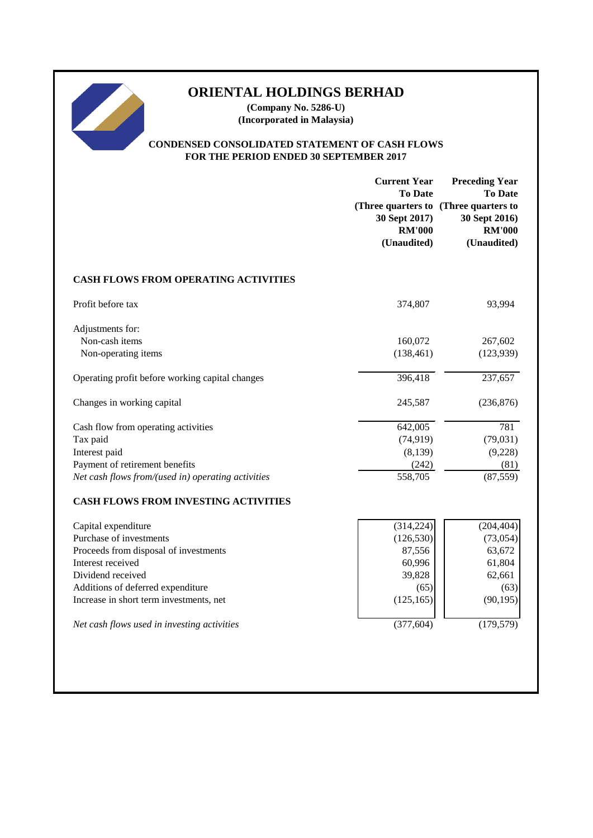# 

## **ORIENTAL HOLDINGS BERHAD**

**(Company No. 5286-U) (Incorporated in Malaysia)**

#### **CONDENSED CONSOLIDATED STATEMENT OF CASH FLOWS FOR THE PERIOD ENDED 30 SEPTEMBER 2017**

|                                                    | <b>Current Year</b><br><b>To Date</b><br>(Three quarters to<br>30 Sept 2017)<br><b>RM'000</b><br>(Unaudited) | <b>Preceding Year</b><br><b>To Date</b><br>(Three quarters to<br>30 Sept 2016)<br><b>RM'000</b><br>(Unaudited) |
|----------------------------------------------------|--------------------------------------------------------------------------------------------------------------|----------------------------------------------------------------------------------------------------------------|
| <b>CASH FLOWS FROM OPERATING ACTIVITIES</b>        |                                                                                                              |                                                                                                                |
| Profit before tax                                  | 374,807                                                                                                      | 93,994                                                                                                         |
| Adjustments for:<br>Non-cash items                 | 160,072                                                                                                      | 267,602                                                                                                        |
| Non-operating items                                | (138, 461)                                                                                                   | (123, 939)                                                                                                     |
| Operating profit before working capital changes    | 396,418                                                                                                      | 237,657                                                                                                        |
| Changes in working capital                         | 245,587                                                                                                      | (236, 876)                                                                                                     |
| Cash flow from operating activities                | 642,005                                                                                                      | 781                                                                                                            |
| Tax paid                                           | (74, 919)                                                                                                    | (79, 031)                                                                                                      |
| Interest paid                                      | (8,139)                                                                                                      | (9,228)                                                                                                        |
| Payment of retirement benefits                     | (242)                                                                                                        | (81)                                                                                                           |
| Net cash flows from/(used in) operating activities | 558,705                                                                                                      | (87, 559)                                                                                                      |
| <b>CASH FLOWS FROM INVESTING ACTIVITIES</b>        |                                                                                                              |                                                                                                                |
| Capital expenditure                                | (314, 224)                                                                                                   | (204, 404)                                                                                                     |
| Purchase of investments                            | (126, 530)                                                                                                   | (73, 054)                                                                                                      |
| Proceeds from disposal of investments              | 87,556                                                                                                       | 63,672                                                                                                         |
| Interest received                                  | 60,996                                                                                                       | 61,804                                                                                                         |
| Dividend received                                  | 39,828                                                                                                       | 62,661                                                                                                         |
| Additions of deferred expenditure                  | (65)                                                                                                         | (63)                                                                                                           |
| Increase in short term investments, net            | (125, 165)                                                                                                   | (90, 195)                                                                                                      |
| Net cash flows used in investing activities        | (377, 604)                                                                                                   | (179, 579)                                                                                                     |
|                                                    |                                                                                                              |                                                                                                                |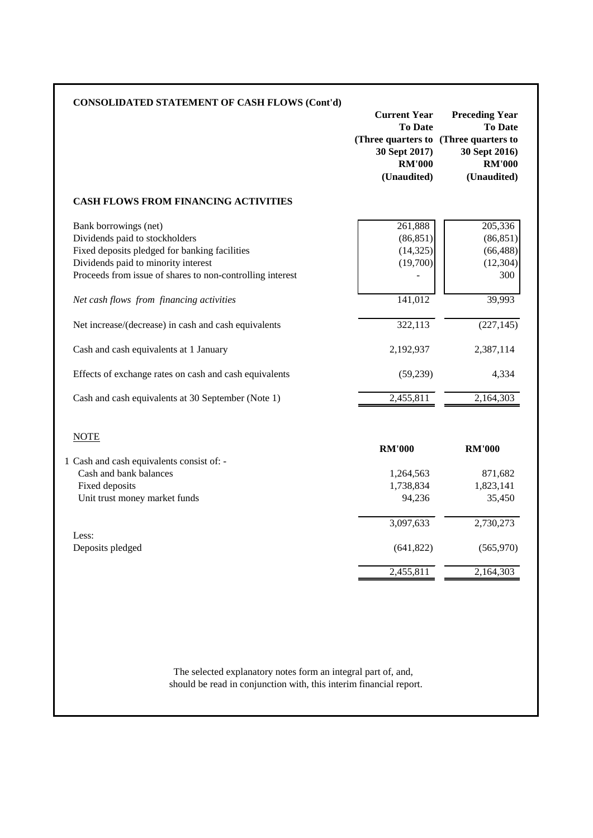| <b>CONSOLIDATED STATEMENT OF CASH FLOWS (Cont'd)</b>                                                                                                                                                         | <b>Current Year</b><br><b>To Date</b><br>(Three quarters to (Three quarters to<br>30 Sept 2017)<br><b>RM'000</b><br>(Unaudited) | <b>Preceding Year</b><br><b>To Date</b><br>30 Sept 2016)<br><b>RM'000</b><br>(Unaudited) |
|--------------------------------------------------------------------------------------------------------------------------------------------------------------------------------------------------------------|---------------------------------------------------------------------------------------------------------------------------------|------------------------------------------------------------------------------------------|
| <b>CASH FLOWS FROM FINANCING ACTIVITIES</b>                                                                                                                                                                  |                                                                                                                                 |                                                                                          |
| Bank borrowings (net)<br>Dividends paid to stockholders<br>Fixed deposits pledged for banking facilities<br>Dividends paid to minority interest<br>Proceeds from issue of shares to non-controlling interest | 261,888<br>(86, 851)<br>(14, 325)<br>(19,700)                                                                                   | 205,336<br>(86, 851)<br>(66, 488)<br>(12, 304)<br>300                                    |
| Net cash flows from financing activities                                                                                                                                                                     | 141,012                                                                                                                         | 39,993                                                                                   |
| Net increase/(decrease) in cash and cash equivalents                                                                                                                                                         | 322,113                                                                                                                         | (227, 145)                                                                               |
| Cash and cash equivalents at 1 January                                                                                                                                                                       | 2,192,937                                                                                                                       | 2,387,114                                                                                |
| Effects of exchange rates on cash and cash equivalents                                                                                                                                                       | (59,239)                                                                                                                        | 4,334                                                                                    |
| Cash and cash equivalents at 30 September (Note 1)                                                                                                                                                           | 2,455,811                                                                                                                       | 2,164,303                                                                                |
| <b>NOTE</b>                                                                                                                                                                                                  | <b>RM'000</b>                                                                                                                   | <b>RM'000</b>                                                                            |
| 1 Cash and cash equivalents consist of: -<br>Cash and bank balances                                                                                                                                          | 1,264,563                                                                                                                       | 871,682                                                                                  |
| Fixed deposits                                                                                                                                                                                               | 1,738,834                                                                                                                       | 1,823,141                                                                                |
| Unit trust money market funds                                                                                                                                                                                | 94,236                                                                                                                          | 35,450                                                                                   |
|                                                                                                                                                                                                              | 3,097,633                                                                                                                       | 2,730,273                                                                                |
|                                                                                                                                                                                                              |                                                                                                                                 |                                                                                          |
| Less:<br>Deposits pledged                                                                                                                                                                                    | (641, 822)                                                                                                                      | (565, 970)                                                                               |

should be read in conjunction with, this interim financial report. The selected explanatory notes form an integral part of, and,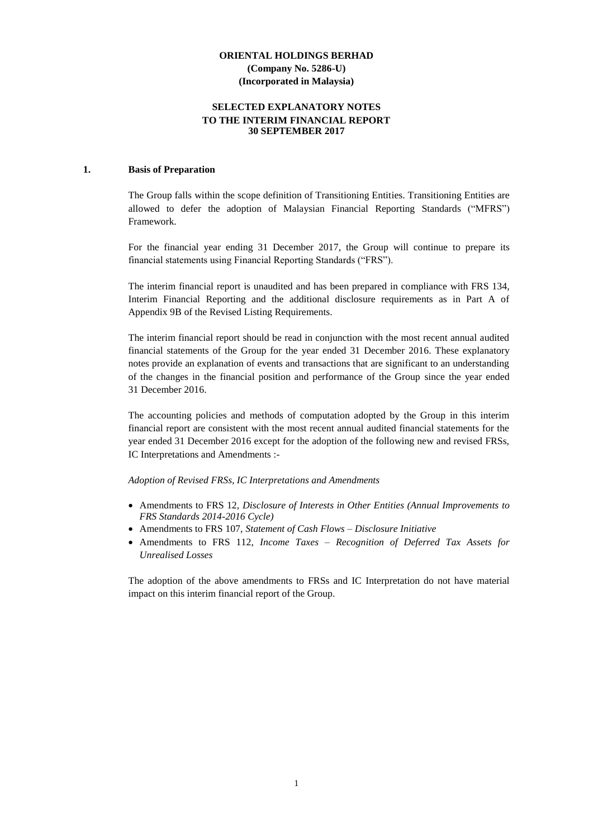#### **SELECTED EXPLANATORY NOTES TO THE INTERIM FINANCIAL REPORT 30 SEPTEMBER 2017**

#### **1. Basis of Preparation**

The Group falls within the scope definition of Transitioning Entities. Transitioning Entities are allowed to defer the adoption of Malaysian Financial Reporting Standards ("MFRS") Framework.

For the financial year ending 31 December 2017, the Group will continue to prepare its financial statements using Financial Reporting Standards ("FRS").

The interim financial report is unaudited and has been prepared in compliance with FRS 134, Interim Financial Reporting and the additional disclosure requirements as in Part A of Appendix 9B of the Revised Listing Requirements.

The interim financial report should be read in conjunction with the most recent annual audited financial statements of the Group for the year ended 31 December 2016. These explanatory notes provide an explanation of events and transactions that are significant to an understanding of the changes in the financial position and performance of the Group since the year ended 31 December 2016.

The accounting policies and methods of computation adopted by the Group in this interim financial report are consistent with the most recent annual audited financial statements for the year ended 31 December 2016 except for the adoption of the following new and revised FRSs, IC Interpretations and Amendments :-

*Adoption of Revised FRSs, IC Interpretations and Amendments*

- Amendments to FRS 12, *Disclosure of Interests in Other Entities (Annual Improvements to FRS Standards 2014-2016 Cycle)*
- Amendments to FRS 107, *Statement of Cash Flows – Disclosure Initiative*
- Amendments to FRS 112, *Income Taxes – Recognition of Deferred Tax Assets for Unrealised Losses*

The adoption of the above amendments to FRSs and IC Interpretation do not have material impact on this interim financial report of the Group.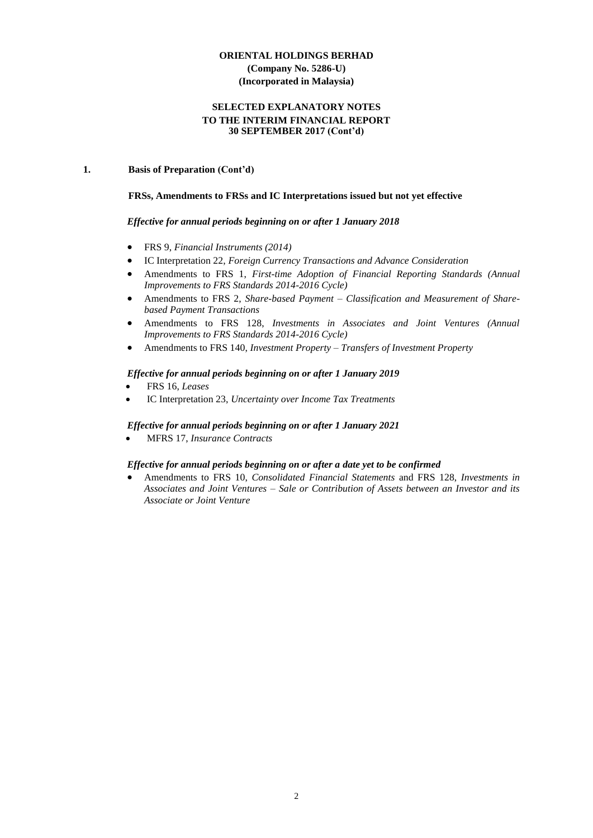#### **SELECTED EXPLANATORY NOTES TO THE INTERIM FINANCIAL REPORT 30 SEPTEMBER 2017 (Cont'd)**

#### **1. Basis of Preparation (Cont'd)**

#### **FRSs, Amendments to FRSs and IC Interpretations issued but not yet effective**

#### *Effective for annual periods beginning on or after 1 January 2018*

- FRS 9, *Financial Instruments (2014)*
- IC Interpretation 22, *Foreign Currency Transactions and Advance Consideration*
- Amendments to FRS 1, *First-time Adoption of [Financial Reporting Standards](http://masb.org.my/pdf/MFRS%201%20042015.pdf) (Annual Improvements to FRS Standards 2014-2016 Cycle)*
- Amendments to FRS 2, *[Share-based Payment](http://www.masb.org.my/pdf/frs2_14sept10.pdf) – Classification and Measurement of Sharebased Payment Transactions*
- Amendments to FRS 128, *Investments in Associates and Joint Ventures (Annual Improvements to FRS Standards 2014-2016 Cycle)*
- Amendments to FRS 140, *Investment Property – Transfers of Investment Property*

#### *Effective for annual periods beginning on or after 1 January 2019*

- FRS 16, *Leases*
- IC Interpretation 23, *Uncertainty over Income Tax Treatments*

#### *Effective for annual periods beginning on or after 1 January 2021*

MFRS 17, *Insurance Contracts*

#### *Effective for annual periods beginning on or after a date yet to be confirmed*

 Amendments to FRS 10, *Consolidated Financial Statements* and FRS 128, *Investments in Associates and Joint Ventures – Sale or Contribution of Assets between an Investor and its Associate or Joint Venture*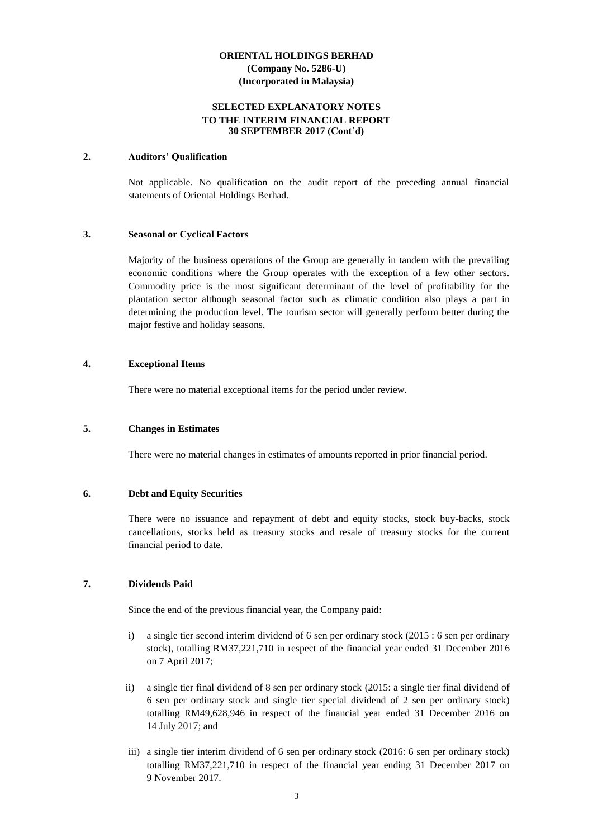#### **SELECTED EXPLANATORY NOTES TO THE INTERIM FINANCIAL REPORT 30 SEPTEMBER 2017 (Cont'd)**

#### **2. Auditors' Qualification**

Not applicable. No qualification on the audit report of the preceding annual financial statements of Oriental Holdings Berhad.

#### **3. Seasonal or Cyclical Factors**

Majority of the business operations of the Group are generally in tandem with the prevailing economic conditions where the Group operates with the exception of a few other sectors. Commodity price is the most significant determinant of the level of profitability for the plantation sector although seasonal factor such as climatic condition also plays a part in determining the production level. The tourism sector will generally perform better during the major festive and holiday seasons.

#### **4. Exceptional Items**

There were no material exceptional items for the period under review.

#### **5. Changes in Estimates**

There were no material changes in estimates of amounts reported in prior financial period.

#### **6. Debt and Equity Securities**

There were no issuance and repayment of debt and equity stocks, stock buy-backs, stock cancellations, stocks held as treasury stocks and resale of treasury stocks for the current financial period to date.

#### **7. Dividends Paid**

Since the end of the previous financial year, the Company paid:

- i) a single tier second interim dividend of 6 sen per ordinary stock (2015 : 6 sen per ordinary stock), totalling RM37,221,710 in respect of the financial year ended 31 December 2016 on 7 April 2017;
- ii) a single tier final dividend of 8 sen per ordinary stock (2015: a single tier final dividend of 6 sen per ordinary stock and single tier special dividend of 2 sen per ordinary stock) totalling RM49,628,946 in respect of the financial year ended 31 December 2016 on 14 July 2017; and
- iii) a single tier interim dividend of 6 sen per ordinary stock (2016: 6 sen per ordinary stock) totalling RM37,221,710 in respect of the financial year ending 31 December 2017 on 9 November 2017.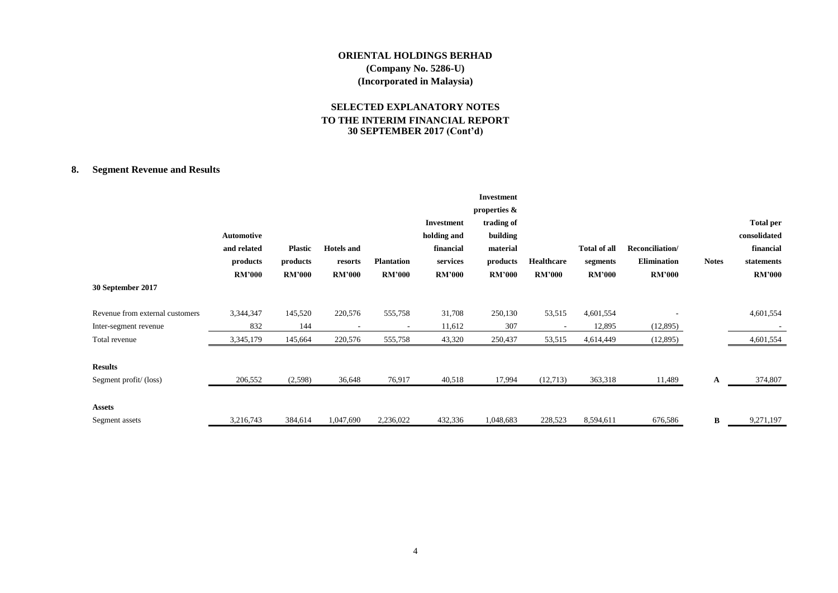#### **SELECTED EXPLANATORY NOTES TO THE INTERIM FINANCIAL REPORT 30 SEPTEMBER 2017 (Cont'd)**

#### **8. Segment Revenue and Results**

|                                 |               |                |                   |                   |               | <b>Investment</b> |                   |                     |                    |              |                  |
|---------------------------------|---------------|----------------|-------------------|-------------------|---------------|-------------------|-------------------|---------------------|--------------------|--------------|------------------|
|                                 |               |                |                   |                   |               | properties &      |                   |                     |                    |              |                  |
|                                 |               |                |                   |                   | Investment    | trading of        |                   |                     |                    |              | <b>Total per</b> |
|                                 | Automotive    |                |                   |                   | holding and   | building          |                   |                     |                    |              | consolidated     |
|                                 | and related   | <b>Plastic</b> | <b>Hotels</b> and |                   | financial     | material          |                   | <b>Total of all</b> | Reconciliation/    |              | financial        |
|                                 | products      | products       | resorts           | <b>Plantation</b> | services      | products          | <b>Healthcare</b> | segments            | <b>Elimination</b> | <b>Notes</b> | statements       |
|                                 | <b>RM'000</b> | <b>RM'000</b>  | <b>RM'000</b>     | <b>RM'000</b>     | <b>RM'000</b> | <b>RM'000</b>     | <b>RM'000</b>     | <b>RM'000</b>       | <b>RM'000</b>      |              | <b>RM'000</b>    |
| 30 September 2017               |               |                |                   |                   |               |                   |                   |                     |                    |              |                  |
| Revenue from external customers | 3,344,347     | 145,520        | 220,576           | 555,758           | 31,708        | 250,130           | 53,515            | 4,601,554           |                    |              | 4,601,554        |
| Inter-segment revenue           | 832           | 144            |                   |                   | 11,612        | 307               |                   | 12,895              | (12,895)           |              |                  |
| Total revenue                   | 3,345,179     | 145,664        | 220,576           | 555,758           | 43,320        | 250,437           | 53,515            | 4,614,449           | (12,895)           |              | 4,601,554        |
| <b>Results</b>                  |               |                |                   |                   |               |                   |                   |                     |                    |              |                  |
| Segment profit/(loss)           | 206,552       | (2,598)        | 36,648            | 76,917            | 40,518        | 17,994            | (12,713)          | 363,318             | 11,489             | A            | 374,807          |
| <b>Assets</b>                   |               |                |                   |                   |               |                   |                   |                     |                    |              |                  |
| Segment assets                  | 3,216,743     | 384,614        | 1,047,690         | 2,236,022         | 432,336       | 1,048,683         | 228,523           | 8,594,611           | 676,586            | В            | 9,271,197        |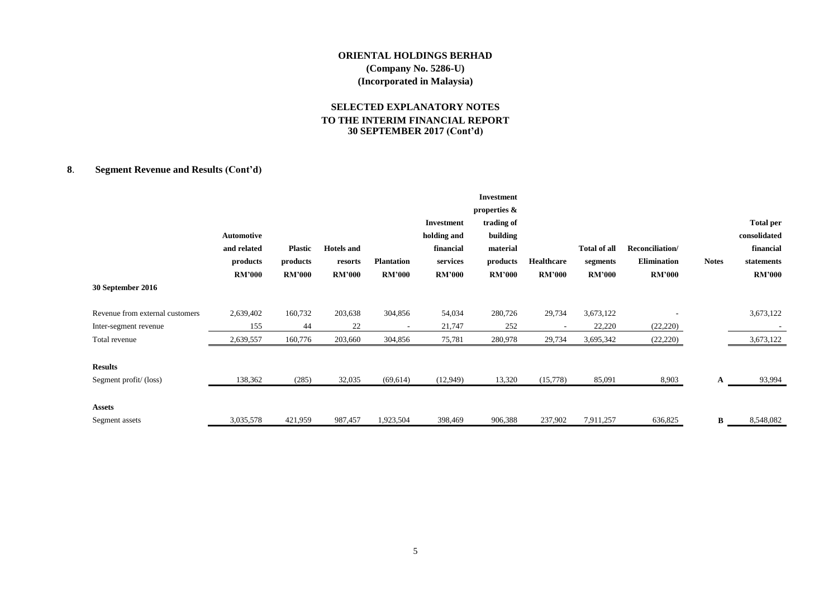#### **SELECTED EXPLANATORY NOTES TO THE INTERIM FINANCIAL REPORT 30 SEPTEMBER 2017 (Cont'd)**

#### **8**. **Segment Revenue and Results (Cont'd)**

|                                 |               |                |                   |                   |               | <b>Investment</b> |                          |                     |                    |              |                  |
|---------------------------------|---------------|----------------|-------------------|-------------------|---------------|-------------------|--------------------------|---------------------|--------------------|--------------|------------------|
|                                 |               |                |                   |                   |               | properties &      |                          |                     |                    |              |                  |
|                                 |               |                |                   |                   | Investment    | trading of        |                          |                     |                    |              | <b>Total per</b> |
|                                 | Automotive    |                |                   |                   | holding and   | building          |                          |                     |                    |              | consolidated     |
|                                 | and related   | <b>Plastic</b> | <b>Hotels</b> and |                   | financial     | material          |                          | <b>Total of all</b> | Reconciliation/    |              | financial        |
|                                 | products      | products       | resorts           | <b>Plantation</b> | services      | products          | <b>Healthcare</b>        | segments            | <b>Elimination</b> | <b>Notes</b> | statements       |
|                                 | <b>RM'000</b> | <b>RM'000</b>  | <b>RM'000</b>     | <b>RM'000</b>     | <b>RM'000</b> | <b>RM'000</b>     | <b>RM'000</b>            | <b>RM'000</b>       | <b>RM'000</b>      |              | <b>RM'000</b>    |
| 30 September 2016               |               |                |                   |                   |               |                   |                          |                     |                    |              |                  |
| Revenue from external customers | 2,639,402     | 160,732        | 203,638           | 304,856           | 54,034        | 280,726           | 29,734                   | 3,673,122           |                    |              | 3,673,122        |
| Inter-segment revenue           | 155           | 44             | 22                |                   | 21,747        | 252               | $\overline{\phantom{a}}$ | 22,220              | (22, 220)          |              |                  |
| Total revenue                   | 2,639,557     | 160,776        | 203,660           | 304,856           | 75,781        | 280,978           | 29,734                   | 3,695,342           | (22, 220)          |              | 3,673,122        |
| <b>Results</b>                  |               |                |                   |                   |               |                   |                          |                     |                    |              |                  |
| Segment profit/(loss)           | 138,362       | (285)          | 32,035            | (69, 614)         | (12,949)      | 13,320            | (15,778)                 | 85,091              | 8,903              | A            | 93,994           |
| <b>Assets</b>                   |               |                |                   |                   |               |                   |                          |                     |                    |              |                  |
| Segment assets                  | 3,035,578     | 421,959        | 987,457           | 1,923,504         | 398,469       | 906,388           | 237,902                  | 7,911,257           | 636,825            | B            | 8,548,082        |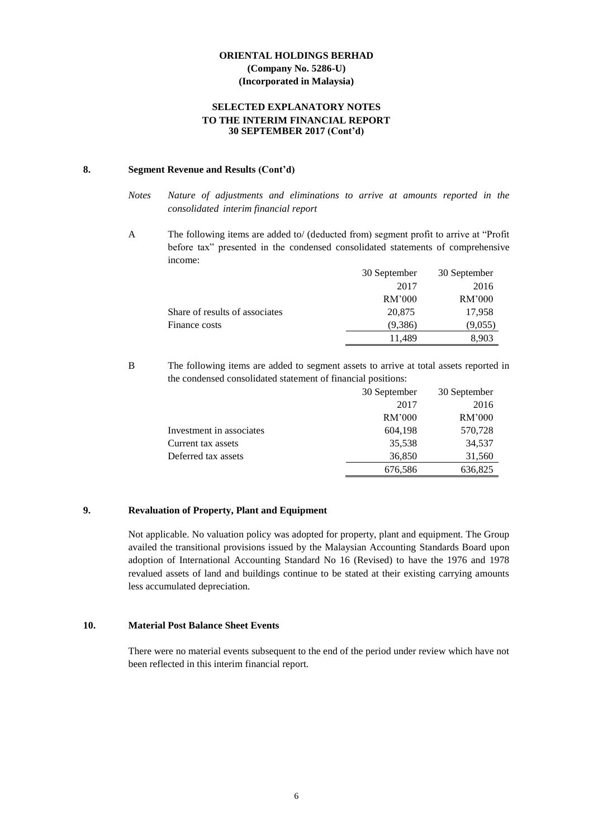#### **SELECTED EXPLANATORY NOTES TO THE INTERIM FINANCIAL REPORT 30 SEPTEMBER 2017 (Cont'd)**

#### **8. Segment Revenue and Results (Cont'd)**

A The following items are added to/ (deducted from) segment profit to arrive at "Profit before tax" presented in the condensed consolidated statements of comprehensive income:

|                                | 30 September | 30 September |
|--------------------------------|--------------|--------------|
|                                | 2017         | 2016         |
|                                | RM'000       | RM'000       |
| Share of results of associates | 20,875       | 17,958       |
| Finance costs                  | (9,386)      | (9,055)      |
|                                | 11.489       | 8.903        |

B The following items are added to segment assets to arrive at total assets reported in the condensed consolidated statement of financial positions:

|                          | 30 September | 30 September |
|--------------------------|--------------|--------------|
|                          | 2017         | 2016         |
|                          | RM'000       | RM'000       |
| Investment in associates | 604,198      | 570,728      |
| Current tax assets       | 35,538       | 34,537       |
| Deferred tax assets      | 36,850       | 31,560       |
|                          | 676,586      | 636,825      |

#### **9. Revaluation of Property, Plant and Equipment**

Not applicable. No valuation policy was adopted for property, plant and equipment. The Group availed the transitional provisions issued by the Malaysian Accounting Standards Board upon adoption of International Accounting Standard No 16 (Revised) to have the 1976 and 1978 revalued assets of land and buildings continue to be stated at their existing carrying amounts less accumulated depreciation.

#### **10. Material Post Balance Sheet Events**

There were no material events subsequent to the end of the period under review which have not been reflected in this interim financial report.

*Notes Nature of adjustments and eliminations to arrive at amounts reported in the consolidated interim financial report*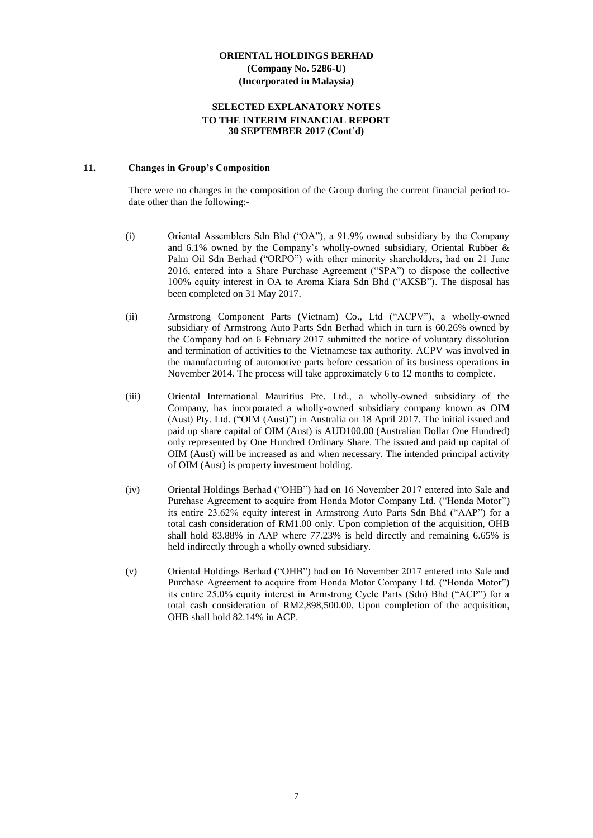#### **SELECTED EXPLANATORY NOTES TO THE INTERIM FINANCIAL REPORT 30 SEPTEMBER 2017 (Cont'd)**

#### **11. Changes in Group's Composition**

There were no changes in the composition of the Group during the current financial period todate other than the following:-

- (i) Oriental Assemblers Sdn Bhd ("OA"), a 91.9% owned subsidiary by the Company and 6.1% owned by the Company's wholly-owned subsidiary, Oriental Rubber & Palm Oil Sdn Berhad ("ORPO") with other minority shareholders, had on 21 June 2016, entered into a Share Purchase Agreement ("SPA") to dispose the collective 100% equity interest in OA to Aroma Kiara Sdn Bhd ("AKSB"). The disposal has been completed on 31 May 2017.
- (ii) Armstrong Component Parts (Vietnam) Co., Ltd ("ACPV"), a wholly-owned subsidiary of Armstrong Auto Parts Sdn Berhad which in turn is 60.26% owned by the Company had on 6 February 2017 submitted the notice of voluntary dissolution and termination of activities to the Vietnamese tax authority. ACPV was involved in the manufacturing of automotive parts before cessation of its business operations in November 2014. The process will take approximately 6 to 12 months to complete.
- (iii) Oriental International Mauritius Pte. Ltd., a wholly-owned subsidiary of the Company, has incorporated a wholly-owned subsidiary company known as OIM (Aust) Pty. Ltd. ("OIM (Aust)") in Australia on 18 April 2017. The initial issued and paid up share capital of OIM (Aust) is AUD100.00 (Australian Dollar One Hundred) only represented by One Hundred Ordinary Share. The issued and paid up capital of OIM (Aust) will be increased as and when necessary. The intended principal activity of OIM (Aust) is property investment holding.
- (iv) Oriental Holdings Berhad ("OHB") had on 16 November 2017 entered into Sale and Purchase Agreement to acquire from Honda Motor Company Ltd. ("Honda Motor") its entire 23.62% equity interest in Armstrong Auto Parts Sdn Bhd ("AAP") for a total cash consideration of RM1.00 only. Upon completion of the acquisition, OHB shall hold 83.88% in AAP where 77.23% is held directly and remaining 6.65% is held indirectly through a wholly owned subsidiary.
- (v) Oriental Holdings Berhad ("OHB") had on 16 November 2017 entered into Sale and Purchase Agreement to acquire from Honda Motor Company Ltd. ("Honda Motor") its entire 25.0% equity interest in Armstrong Cycle Parts (Sdn) Bhd ("ACP") for a total cash consideration of RM2,898,500.00. Upon completion of the acquisition, OHB shall hold 82.14% in ACP.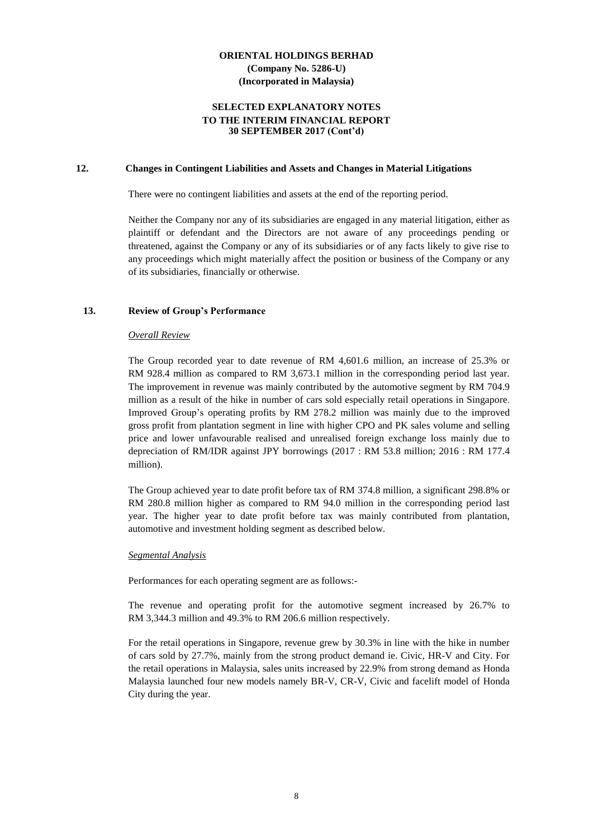#### **SELECTED EXPLANATORY NOTES TO THE INTERIM FINANCIAL REPORT 30 SEPTEMBER 2017 (Cont'd)**

#### **12. Changes in Contingent Liabilities and Assets and Changes in Material Litigations**

There were no contingent liabilities and assets at the end of the reporting period.

Neither the Company nor any of its subsidiaries are engaged in any material litigation, either as plaintiff or defendant and the Directors are not aware of any proceedings pending or threatened, against the Company or any of its subsidiaries or of any facts likely to give rise to any proceedings which might materially affect the position or business of the Company or any of its subsidiaries, financially or otherwise.

#### **13. Review of Group's Performance**

#### *Overall Review*

The Group recorded year to date revenue of RM 4,601.6 million, an increase of 25.3% or RM 928.4 million as compared to RM 3,673.1 million in the corresponding period last year. The improvement in revenue was mainly contributed by the automotive segment by RM 704.9 million as a result of the hike in number of cars sold especially retail operations in Singapore. Improved Group's operating profits by RM 278.2 million was mainly due to the improved gross profit from plantation segment in line with higher CPO and PK sales volume and selling price and lower unfavourable realised and unrealised foreign exchange loss mainly due to depreciation of RM/IDR against JPY borrowings (2017 : RM 53.8 million; 2016 : RM 177.4 million).

The Group achieved year to date profit before tax of RM 374.8 million, a significant 298.8% or RM 280.8 million higher as compared to RM 94.0 million in the corresponding period last year. The higher year to date profit before tax was mainly contributed from plantation, automotive and investment holding segment as described below.

#### *Segmental Analysis*

Performances for each operating segment are as follows:-

The revenue and operating profit for the automotive segment increased by 26.7% to RM 3,344.3 million and 49.3% to RM 206.6 million respectively.

For the retail operations in Singapore, revenue grew by 30.3% in line with the hike in number of cars sold by 27.7%, mainly from the strong product demand ie. Civic, HR-V and City. For the retail operations in Malaysia, sales units increased by 22.9% from strong demand as Honda Malaysia launched four new models namely BR-V, CR-V, Civic and facelift model of Honda City during the year.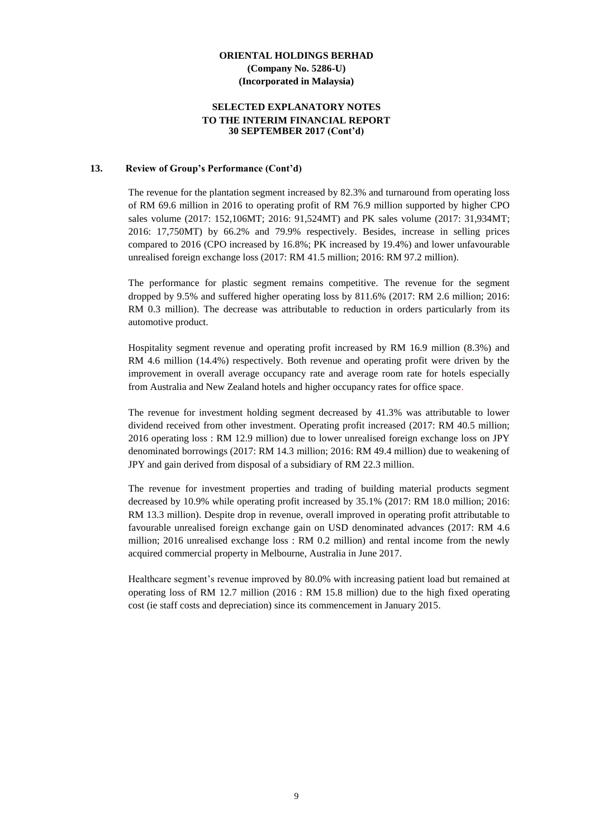#### **SELECTED EXPLANATORY NOTES TO THE INTERIM FINANCIAL REPORT 30 SEPTEMBER 2017 (Cont'd)**

#### **13. Review of Group's Performance (Cont'd)**

The revenue for the plantation segment increased by 82.3% and turnaround from operating loss of RM 69.6 million in 2016 to operating profit of RM 76.9 million supported by higher CPO sales volume (2017: 152,106MT; 2016: 91,524MT) and PK sales volume (2017: 31,934MT; 2016: 17,750MT) by 66.2% and 79.9% respectively. Besides, increase in selling prices compared to 2016 (CPO increased by 16.8%; PK increased by 19.4%) and lower unfavourable unrealised foreign exchange loss (2017: RM 41.5 million; 2016: RM 97.2 million).

The performance for plastic segment remains competitive. The revenue for the segment dropped by 9.5% and suffered higher operating loss by 811.6% (2017: RM 2.6 million; 2016: RM 0.3 million). The decrease was attributable to reduction in orders particularly from its automotive product.

Hospitality segment revenue and operating profit increased by RM 16.9 million (8.3%) and RM 4.6 million (14.4%) respectively. Both revenue and operating profit were driven by the improvement in overall average occupancy rate and average room rate for hotels especially from Australia and New Zealand hotels and higher occupancy rates for office space.

The revenue for investment holding segment decreased by 41.3% was attributable to lower dividend received from other investment. Operating profit increased (2017: RM 40.5 million; 2016 operating loss : RM 12.9 million) due to lower unrealised foreign exchange loss on JPY denominated borrowings (2017: RM 14.3 million; 2016: RM 49.4 million) due to weakening of JPY and gain derived from disposal of a subsidiary of RM 22.3 million.

The revenue for investment properties and trading of building material products segment decreased by 10.9% while operating profit increased by 35.1% (2017: RM 18.0 million; 2016: RM 13.3 million). Despite drop in revenue, overall improved in operating profit attributable to favourable unrealised foreign exchange gain on USD denominated advances (2017: RM 4.6 million; 2016 unrealised exchange loss : RM 0.2 million) and rental income from the newly acquired commercial property in Melbourne, Australia in June 2017.

Healthcare segment's revenue improved by 80.0% with increasing patient load but remained at operating loss of RM 12.7 million (2016 : RM 15.8 million) due to the high fixed operating cost (ie staff costs and depreciation) since its commencement in January 2015.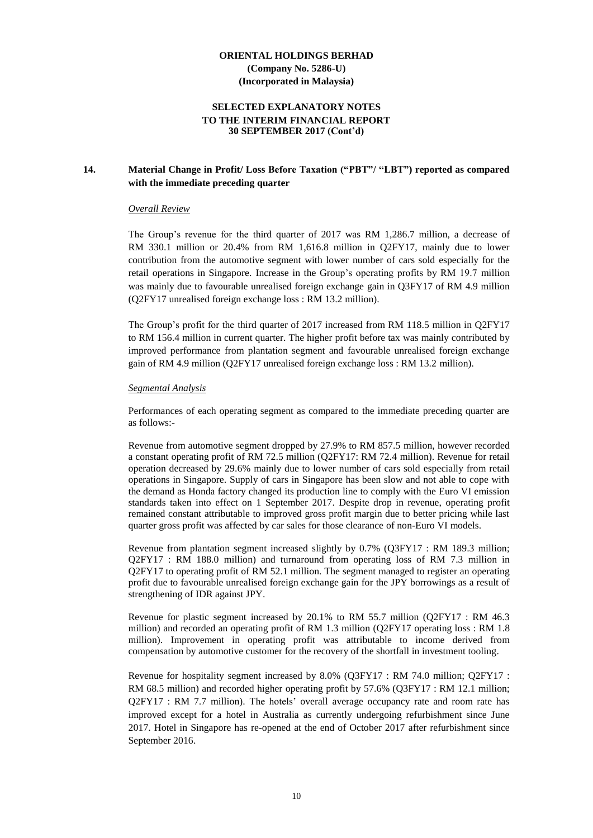#### **SELECTED EXPLANATORY NOTES TO THE INTERIM FINANCIAL REPORT 30 SEPTEMBER 2017 (Cont'd)**

#### **14. Material Change in Profit/ Loss Before Taxation ("PBT"/ "LBT") reported as compared with the immediate preceding quarter**

#### *Overall Review*

The Group's revenue for the third quarter of 2017 was RM 1,286.7 million, a decrease of RM 330.1 million or 20.4% from RM 1,616.8 million in Q2FY17, mainly due to lower contribution from the automotive segment with lower number of cars sold especially for the retail operations in Singapore. Increase in the Group's operating profits by RM 19.7 million was mainly due to favourable unrealised foreign exchange gain in Q3FY17 of RM 4.9 million (Q2FY17 unrealised foreign exchange loss : RM 13.2 million).

The Group's profit for the third quarter of 2017 increased from RM 118.5 million in Q2FY17 to RM 156.4 million in current quarter. The higher profit before tax was mainly contributed by improved performance from plantation segment and favourable unrealised foreign exchange gain of RM 4.9 million (Q2FY17 unrealised foreign exchange loss : RM 13.2 million).

#### *Segmental Analysis*

Performances of each operating segment as compared to the immediate preceding quarter are as follows:-

Revenue from automotive segment dropped by 27.9% to RM 857.5 million, however recorded a constant operating profit of RM 72.5 million (Q2FY17: RM 72.4 million). Revenue for retail operation decreased by 29.6% mainly due to lower number of cars sold especially from retail operations in Singapore. Supply of cars in Singapore has been slow and not able to cope with the demand as Honda factory changed its production line to comply with the Euro VI emission standards taken into effect on 1 September 2017. Despite drop in revenue, operating profit remained constant attributable to improved gross profit margin due to better pricing while last quarter gross profit was affected by car sales for those clearance of non-Euro VI models.

Revenue from plantation segment increased slightly by 0.7% (Q3FY17 : RM 189.3 million; Q2FY17 : RM 188.0 million) and turnaround from operating loss of RM 7.3 million in Q2FY17 to operating profit of RM 52.1 million. The segment managed to register an operating profit due to favourable unrealised foreign exchange gain for the JPY borrowings as a result of strengthening of IDR against JPY.

Revenue for plastic segment increased by 20.1% to RM 55.7 million (Q2FY17 : RM 46.3 million) and recorded an operating profit of RM 1.3 million (Q2FY17 operating loss : RM 1.8 million). Improvement in operating profit was attributable to income derived from compensation by automotive customer for the recovery of the shortfall in investment tooling.

Revenue for hospitality segment increased by 8.0% (Q3FY17 : RM 74.0 million; Q2FY17 : RM 68.5 million) and recorded higher operating profit by 57.6% (Q3FY17 : RM 12.1 million; Q2FY17 : RM 7.7 million). The hotels' overall average occupancy rate and room rate has improved except for a hotel in Australia as currently undergoing refurbishment since June 2017. Hotel in Singapore has re-opened at the end of October 2017 after refurbishment since September 2016.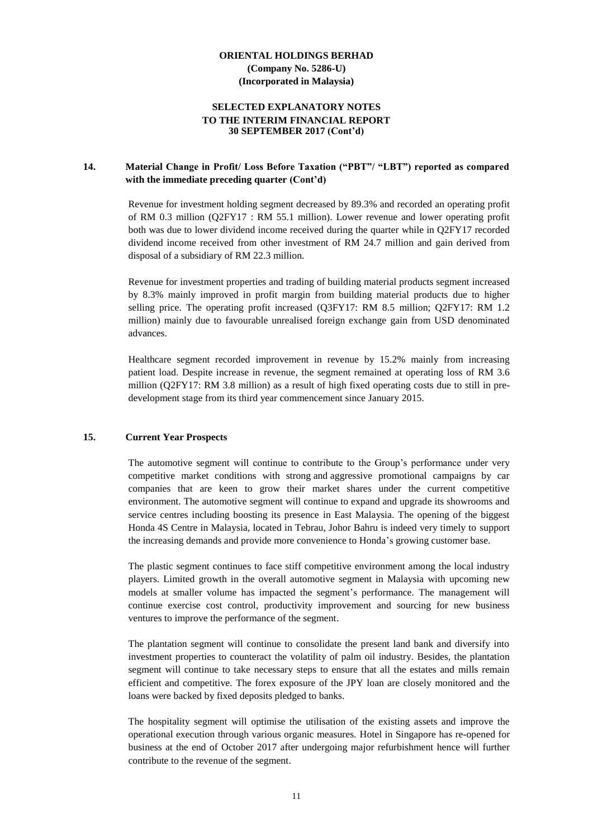#### **SELECTED EXPLANATORY NOTES TO THE INTERIM FINANCIAL REPORT 30 SEPTEMBER 2017 (Cont'd)**

#### **14. Material Change in Profit/ Loss Before Taxation ("PBT"/ "LBT") reported as compared with the immediate preceding quarter (Cont'd)**

Revenue for investment holding segment decreased by 89.3% and recorded an operating profit of RM 0.3 million (Q2FY17 : RM 55.1 million). Lower revenue and lower operating profit both was due to lower dividend income received during the quarter while in Q2FY17 recorded dividend income received from other investment of RM 24.7 million and gain derived from disposal of a subsidiary of RM 22.3 million.

Revenue for investment properties and trading of building material products segment increased by 8.3% mainly improved in profit margin from building material products due to higher selling price. The operating profit increased (Q3FY17: RM 8.5 million; Q2FY17: RM 1.2 million) mainly due to favourable unrealised foreign exchange gain from USD denominated advances.

Healthcare segment recorded improvement in revenue by 15.2% mainly from increasing patient load. Despite increase in revenue, the segment remained at operating loss of RM 3.6 million (Q2FY17: RM 3.8 million) as a result of high fixed operating costs due to still in predevelopment stage from its third year commencement since January 2015.

#### **15. Current Year Prospects**

The automotive segment will continue to contribute to the Group's performance under very competitive market conditions with strong and aggressive promotional campaigns by car companies that are keen to grow their market shares under the current competitive environment. The automotive segment will continue to expand and upgrade its showrooms and service centres including boosting its presence in East Malaysia. The opening of the biggest Honda 4S Centre in Malaysia, located in Tebrau, Johor Bahru is indeed very timely to support the increasing demands and provide more convenience to Honda's growing customer base.

The plastic segment continues to face stiff competitive environment among the local industry players. Limited growth in the overall automotive segment in Malaysia with upcoming new models at smaller volume has impacted the segment's performance. The management will continue exercise cost control, productivity improvement and sourcing for new business ventures to improve the performance of the segment.

The plantation segment will continue to consolidate the present land bank and diversify into investment properties to counteract the volatility of palm oil industry. Besides, the plantation segment will continue to take necessary steps to ensure that all the estates and mills remain efficient and competitive. The forex exposure of the JPY loan are closely monitored and the loans were backed by fixed deposits pledged to banks.

The hospitality segment will optimise the utilisation of the existing assets and improve the operational execution through various organic measures. Hotel in Singapore has re-opened for business at the end of October 2017 after undergoing major refurbishment hence will further contribute to the revenue of the segment.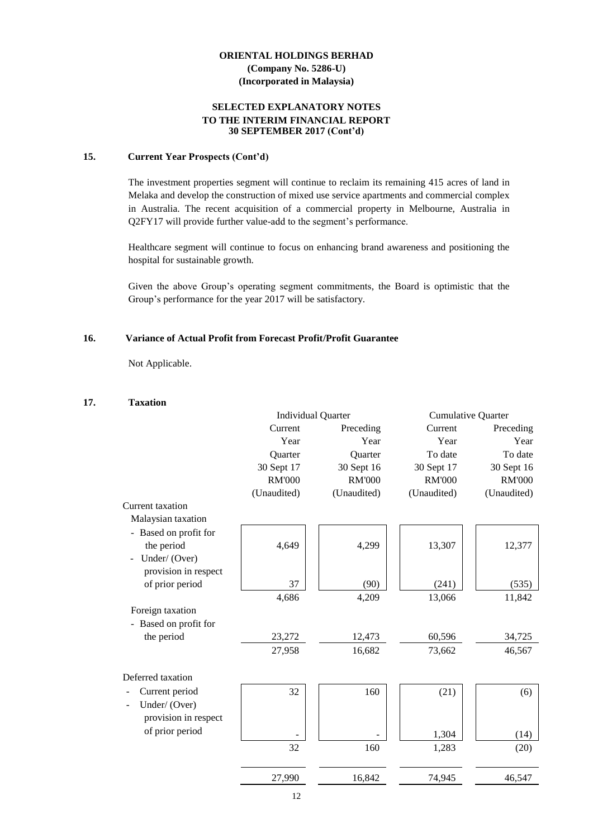#### **SELECTED EXPLANATORY NOTES TO THE INTERIM FINANCIAL REPORT 30 SEPTEMBER 2017 (Cont'd)**

#### **15. Current Year Prospects (Cont'd)**

The investment properties segment will continue to reclaim its remaining 415 acres of land in Melaka and develop the construction of mixed use service apartments and commercial complex in Australia. The recent acquisition of a commercial property in Melbourne, Australia in Q2FY17 will provide further value-add to the segment's performance.

Healthcare segment will continue to focus on enhancing brand awareness and positioning the hospital for sustainable growth.

Given the above Group's operating segment commitments, the Board is optimistic that the Group's performance for the year 2017 will be satisfactory.

#### **16. Variance of Actual Profit from Forecast Profit/Profit Guarantee**

Not Applicable.

#### **17. Taxation**

|                       |               | <b>Individual Quarter</b> | <b>Cumulative Quarter</b> |               |
|-----------------------|---------------|---------------------------|---------------------------|---------------|
|                       | Current       | Preceding                 | Current                   | Preceding     |
|                       | Year          | Year                      | Year                      | Year          |
|                       | Quarter       | Quarter                   | To date                   | To date       |
|                       | 30 Sept 17    | 30 Sept 16                | 30 Sept 17                | 30 Sept 16    |
|                       | <b>RM'000</b> | <b>RM'000</b>             | <b>RM'000</b>             | <b>RM'000</b> |
|                       | (Unaudited)   | (Unaudited)               | (Unaudited)               | (Unaudited)   |
| Current taxation      |               |                           |                           |               |
| Malaysian taxation    |               |                           |                           |               |
| - Based on profit for |               |                           |                           |               |
| the period            | 4,649         | 4,299                     | 13,307                    | 12,377        |
| Under/(Over)          |               |                           |                           |               |
| provision in respect  |               |                           |                           |               |
| of prior period       | 37            | (90)                      | (241)                     | (535)         |
|                       | 4,686         | 4,209                     | 13,066                    | 11,842        |
| Foreign taxation      |               |                           |                           |               |
| - Based on profit for |               |                           |                           |               |
| the period            | 23,272        | 12,473                    | 60,596                    | 34,725        |
|                       | 27,958        | 16,682                    | 73,662                    | 46,567        |
| Deferred taxation     |               |                           |                           |               |
| Current period        | 32            | 160                       | (21)                      | (6)           |
| Under/(Over)          |               |                           |                           |               |
| provision in respect  |               |                           |                           |               |
| of prior period       |               |                           |                           |               |
|                       |               |                           | 1,304                     | (14)          |
|                       | 32            | 160                       | 1,283                     | (20)          |
|                       | 27,990        | 16,842                    | 74,945                    | 46,547        |
|                       |               |                           |                           |               |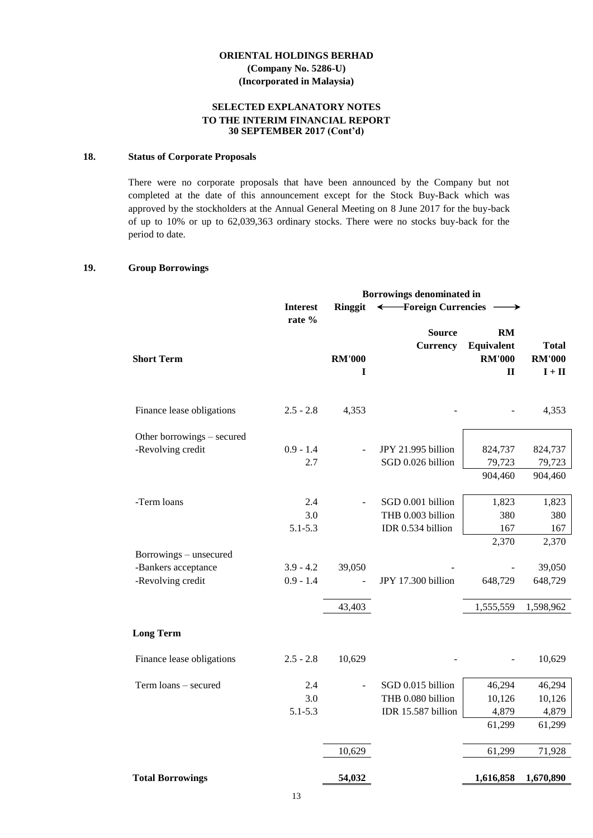#### **SELECTED EXPLANATORY NOTES TO THE INTERIM FINANCIAL REPORT 30 SEPTEMBER 2017 (Cont'd)**

#### **18. Status of Corporate Proposals**

There were no corporate proposals that have been announced by the Company but not completed at the date of this announcement except for the Stock Buy-Back which was approved by the stockholders at the Annual General Meeting on 8 June 2017 for the buy-back of up to 10% or up to 62,039,363 ordinary stocks. There were no stocks buy-back for the period to date.

#### **19. Group Borrowings**

| <b>Interest</b> | Ringgit |                    | →                                |                                                                                                                      |
|-----------------|---------|--------------------|----------------------------------|----------------------------------------------------------------------------------------------------------------------|
|                 |         |                    |                                  |                                                                                                                      |
|                 |         |                    |                                  |                                                                                                                      |
|                 |         |                    |                                  | <b>Total</b>                                                                                                         |
|                 |         |                    |                                  | <b>RM'000</b>                                                                                                        |
|                 | I       |                    |                                  | $\mathbf{I}+\mathbf{II}$                                                                                             |
| $2.5 - 2.8$     | 4,353   |                    |                                  | 4,353                                                                                                                |
|                 |         |                    |                                  |                                                                                                                      |
| $0.9 - 1.4$     |         | JPY 21.995 billion | 824,737                          | 824,737                                                                                                              |
| 2.7             |         | SGD 0.026 billion  | 79,723                           | 79,723                                                                                                               |
|                 |         |                    | 904,460                          | 904,460                                                                                                              |
| 2.4             |         | SGD 0.001 billion  | 1,823                            | 1,823                                                                                                                |
| 3.0             |         | THB 0.003 billion  | 380                              | 380                                                                                                                  |
| $5.1 - 5.3$     |         | IDR 0.534 billion  | 167                              | 167                                                                                                                  |
|                 |         |                    | 2,370                            | 2,370                                                                                                                |
|                 |         |                    |                                  |                                                                                                                      |
| $3.9 - 4.2$     | 39,050  |                    |                                  | 39,050                                                                                                               |
| $0.9 - 1.4$     |         | JPY 17.300 billion | 648,729                          | 648,729                                                                                                              |
|                 | 43,403  |                    | 1,555,559                        | 1,598,962                                                                                                            |
|                 |         |                    |                                  |                                                                                                                      |
| $2.5 - 2.8$     | 10,629  |                    |                                  | 10,629                                                                                                               |
| 2.4             |         | SGD 0.015 billion  | 46,294                           | 46,294                                                                                                               |
| 3.0             |         | THB 0.080 billion  | 10,126                           | 10,126                                                                                                               |
| $5.1 - 5.3$     |         | IDR 15.587 billion | 4,879                            | 4,879                                                                                                                |
|                 |         |                    | 61,299                           | 61,299                                                                                                               |
|                 | 10,629  |                    | 61,299                           | 71,928                                                                                                               |
|                 | 54,032  |                    | 1,616,858                        | 1,670,890                                                                                                            |
|                 | rate %  | <b>RM'000</b>      | <b>Source</b><br><b>Currency</b> | <b>Borrowings denominated in</b><br>← Foreign Currencies<br><b>RM</b><br>Equivalent<br><b>RM'000</b><br>$\mathbf{I}$ |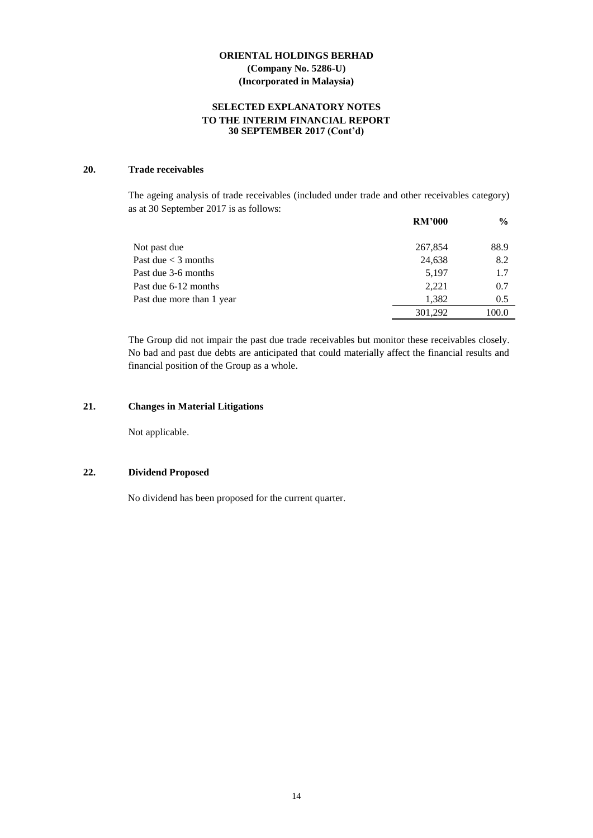#### **SELECTED EXPLANATORY NOTES TO THE INTERIM FINANCIAL REPORT 30 SEPTEMBER 2017 (Cont'd)**

#### **20. Trade receivables**

The ageing analysis of trade receivables (included under trade and other receivables category) as at 30 September 2017 is as follows:

|                           | <b>RM'000</b> | $\frac{6}{9}$ |
|---------------------------|---------------|---------------|
| Not past due              | 267,854       | 88.9          |
| Past due $<$ 3 months     | 24,638        | 8.2           |
| Past due 3-6 months       | 5,197         | 1.7           |
| Past due 6-12 months      | 2.221         | 0.7           |
| Past due more than 1 year | 1,382         | 0.5           |
|                           | 301,292       | 100.0         |

The Group did not impair the past due trade receivables but monitor these receivables closely. No bad and past due debts are anticipated that could materially affect the financial results and financial position of the Group as a whole.

#### **21. Changes in Material Litigations**

Not applicable.

#### **22. Dividend Proposed**

No dividend has been proposed for the current quarter.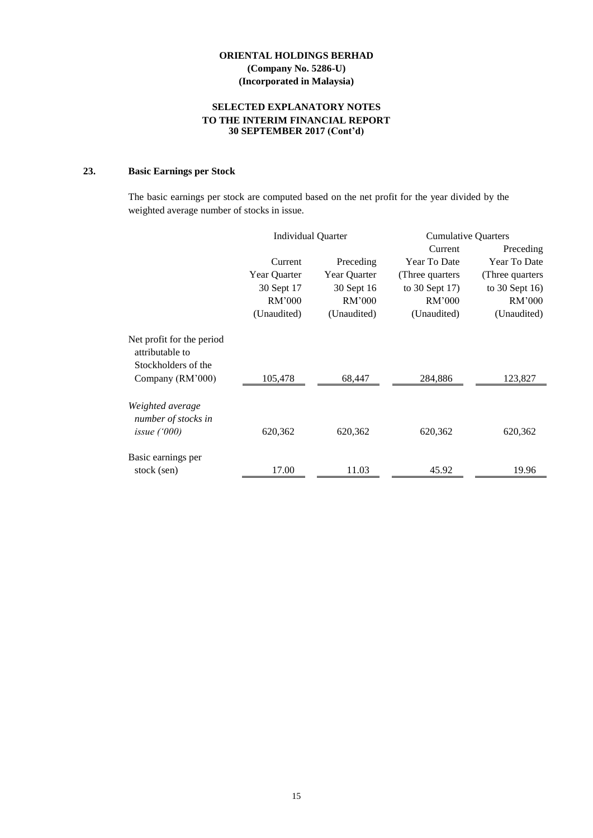#### **SELECTED EXPLANATORY NOTES TO THE INTERIM FINANCIAL REPORT 30 SEPTEMBER 2017 (Cont'd)**

#### **23. Basic Earnings per Stock**

The basic earnings per stock are computed based on the net profit for the year divided by the weighted average number of stocks in issue.

|                                              | Individual Quarter |              | <b>Cumulative Quarters</b> |                   |
|----------------------------------------------|--------------------|--------------|----------------------------|-------------------|
|                                              |                    |              | Current                    | Preceding         |
|                                              | Current            | Preceding    | <b>Year To Date</b>        | Year To Date      |
|                                              | Year Quarter       | Year Quarter | (Three quarters)           | (Three quarters   |
|                                              | 30 Sept 17         | 30 Sept 16   | to $30$ Sept 17)           | to 30 Sept $16$ ) |
|                                              | RM'000             | RM'000       | RM'000                     | RM'000            |
|                                              | (Unaudited)        | (Unaudited)  | (Unaudited)                | (Unaudited)       |
| Net profit for the period<br>attributable to |                    |              |                            |                   |
| Stockholders of the                          |                    |              |                            |                   |
| Company (RM'000)                             | 105,478            | 68,447       | 284,886                    | 123,827           |
| Weighted average<br>number of stocks in      |                    |              |                            |                   |
| issue $(000)$                                | 620,362            | 620,362      | 620,362                    | 620,362           |
| Basic earnings per                           |                    |              |                            |                   |
| stock (sen)                                  | 17.00              | 11.03        | 45.92                      | 19.96             |